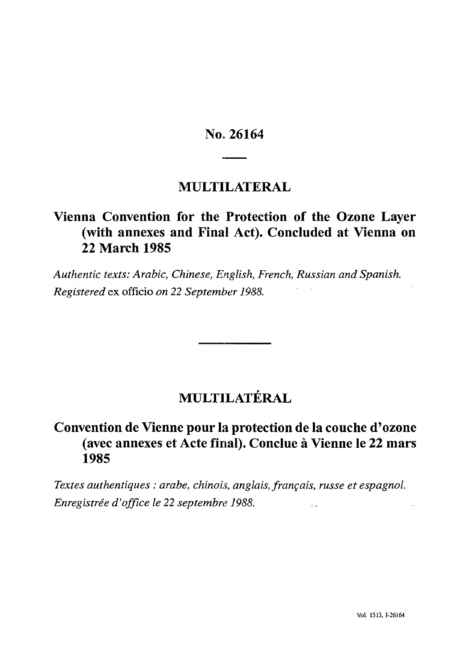# No, 26164

# **MULTILATERAL**

# **Vienna Convention for the Protection of the Ozone Layer (with annexes and Final Act). Concluded at Vienna on 22 March 1985**

*Authentic texts: Arabic, Chinese, English, French, Russian and Spanish. Registered* ex officio *on 22 September 1988.*

# **MULTILATÉRAL**

# **Convention de Vienne pour la protection de la couche d'ozone**  (avec annexes et Acte final). Conclue à Vienne le 22 mars **1985**

*Textes authentiques : arabe, chinois, anglais, français, russe et espagnol. Enregistrée d'office le 22 septembre 1988.*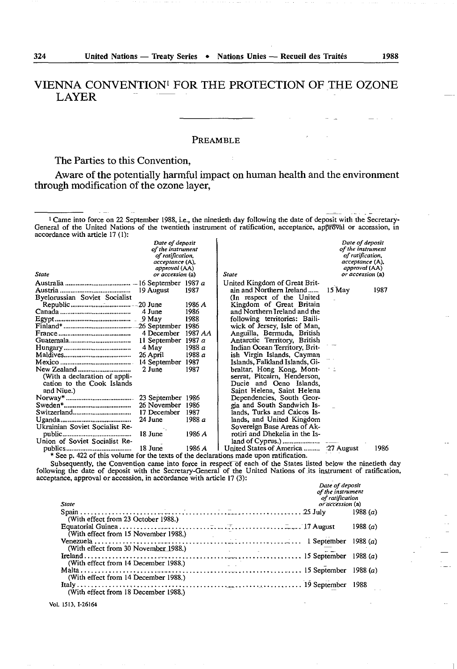# VIENNA CONVENTION1 FOR THE PROTECTION OF THE OZONE LAYER

### PREAMBLE

The Parties to this Convention,

Aware of the potentially harmful impact on human health and the environment through modification of the ozone layer,

<sup>1</sup> Came into force on 22 September 1988, i.e., the ninetieth day following the date of deposit with the Secretary-General of the United Nations of the twentieth instrument of ratification, acceptance, approval or accession, in accordance with article 17 (1): *Date of deposit*   $\mathbf{I}$ *Date of deposit* 

| <b>State</b>                   | of the instrument<br>of ratification,<br>acceptance (A),<br>approval (AA)<br>or accession (a) |         | ,,,, ,, <u>.,</u> ,,,,,<br>of the instrument<br>of ratification,<br>acceptance (A),<br>approval (AA)<br>State<br>or accession (a) |        |      |
|--------------------------------|-----------------------------------------------------------------------------------------------|---------|-----------------------------------------------------------------------------------------------------------------------------------|--------|------|
|                                |                                                                                               |         |                                                                                                                                   |        |      |
|                                |                                                                                               | 1987    | United Kingdom of Great Brit-                                                                                                     |        | 1987 |
| Byelorussian Soviet Socialist  | 19 August                                                                                     |         | ain and Northern Ireland<br>(In respect of the United                                                                             | 15 May |      |
|                                | -20 June                                                                                      | 1986 A  | Kingdom of Great Britain                                                                                                          |        |      |
|                                | 4 June                                                                                        | 1986    | and Northern Ireland and the                                                                                                      |        |      |
|                                | 9 May                                                                                         | 1988    | following territories: Baili-                                                                                                     |        |      |
|                                |                                                                                               |         | wick of Jersey, Isle of Man,                                                                                                      |        |      |
|                                | 4 December                                                                                    | 1987 AA | Anguilla, Bermuda, British                                                                                                        |        |      |
|                                | 11 September 1987 $a$                                                                         |         | Antarctic Territory, British                                                                                                      |        |      |
|                                | 4 May                                                                                         | 1988 a  | Indian Ocean Territory, Brit-                                                                                                     |        |      |
|                                | 26 April                                                                                      | 1988 a  | ish Virgin Islands, Cayman                                                                                                        |        |      |
|                                | 14 September 1987                                                                             |         | Islands, Falkland Islands, Gi-                                                                                                    |        |      |
|                                | 2 June                                                                                        | 1987    | braltar, Hong Kong, Mont-                                                                                                         |        |      |
| (With a declaration of appli-  |                                                                                               |         | serrat, Pitcairn, Henderson,                                                                                                      |        |      |
| cation to the Cook Islands     |                                                                                               |         | Ducie and Oeno Islands.                                                                                                           |        |      |
| and Niue.)                     |                                                                                               |         | Saint Helena, Saint Helena                                                                                                        |        |      |
|                                | 23 September 1986                                                                             |         | Dependencies, South Geor-                                                                                                         |        |      |
|                                | 26 November 1986                                                                              |         | gia and South Sandwich Is-                                                                                                        |        |      |
|                                | 17 December                                                                                   | 1987    | lands, Turks and Caicos Is-                                                                                                       |        |      |
|                                | 24 June                                                                                       | 1988 a  | lands, and United Kingdom                                                                                                         |        |      |
| Ukrainian Soviet Socialist Re- |                                                                                               |         | Sovereign Base Areas of Ak-                                                                                                       |        |      |
|                                | 18 June                                                                                       | 1986 A  | rotiri and Dhekelia in the Is-                                                                                                    |        |      |
| Union of Soviet Socialist Re-  |                                                                                               |         |                                                                                                                                   |        |      |
|                                | 18 June                                                                                       | 1986 A  | United States of America  27 August                                                                                               |        | 1986 |
|                                |                                                                                               |         | * See p. 422 of this volume for the texts of the declarations made upon ratification.                                             |        |      |

Subsequently, the Convention came into force in respect of each of the States listed below the ninetieth day<br>following the date of deposit with the Secretary-General of the United Nations of its instrument of ratification,

| State                                | Date of deposit<br>of the instrument<br>of ratification<br>or accession (a) |  |
|--------------------------------------|-----------------------------------------------------------------------------|--|
|                                      | 1988 $(a)$                                                                  |  |
| (With effect from 23 October 1988.)  |                                                                             |  |
|                                      | 1988 $(a)$                                                                  |  |
|                                      |                                                                             |  |
|                                      |                                                                             |  |
| (With effect from 30 November 1988.) |                                                                             |  |
|                                      |                                                                             |  |
|                                      |                                                                             |  |
|                                      |                                                                             |  |
| (With effect from 14 December 1988.) |                                                                             |  |
|                                      |                                                                             |  |
| (With effect from 18 December 1988.) |                                                                             |  |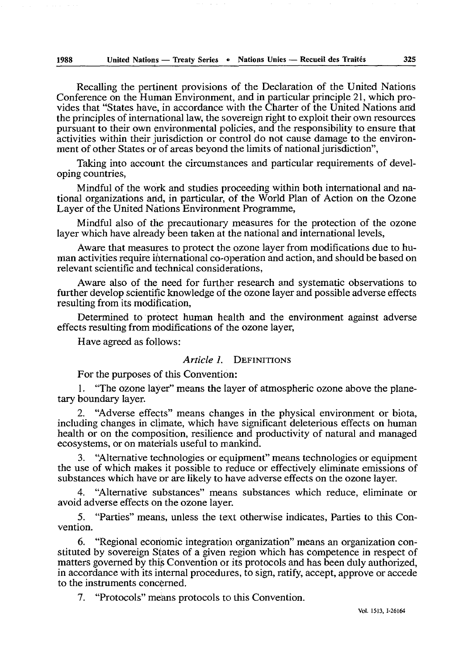Recalling the pertinent provisions of the Declaration of the United Nations Conference on the Human Environment, and in particular principle 21, which pro vides that "States have, in accordance with the Charter of the United Nations and the principles of international law, the sovereign right to exploit their own resources pursuant to their own environmental plolicies, and the responsibility to ensure that activities within their jurisdiction or control do not cause damage to the environ ment of other States or of areas beyond the limits of national jurisdiction",

Taking into account the circumstances and particular requirements of devel oping countries,

Mindful of the work and studies proceeding within both international and na tional organizations arid, in particular, of the World Plan of Action on the Ozone Layer of the United Nations Environment Programme,

Mindful also of the precautionary measures for the protection of the ozone layer which have already been taken at the national and international levels,

Aware that measures to protect the ozone layer from modifications due to hu man activities require international co-operation and action, and should be based on relevant scientific and technical considerations,

Aware also of the need for further research and systematic observations to further develop scientific knowledge of the ozone layer and possible adverse effects resulting from its modification,

Determined to protect human health and the environment against adverse effects resulting from modifications of the ozone layer,

Have agreed as follows:

### *Article 1.* DEFINITIONS

For the purposes of this Convention:

"The ozone layer" means the layer of atmospheric ozone above the planetary boundary layer.

"Adverse effects" means changes in the physical environment or biota, including changes in climate, which have significant deleterious effects on human health or on the composition, resilience and productivity of natural and managed ecosystems, or on materials useful to mankind.

3. "Alternative technologies or equipment" means technologies or equipment the use of which makes it possible to reduce or effectively eliminate emissions of substances which have or are likely to have adverse effects on the ozone layer.

4. "Alternative substances" means substances which reduce, eliminate or avoid adverse effects on the ozone layer.

5. "Parties" means, unless the text otherwise indicates, Parties to this Con vention.

6. "Regional economic integration organization" means an organization con stituted by sovereign States of a given region which has competence in respect of matters governed by this Convention or its protocols and has been duly authorized, in accordance with its internal procedures, to sign, ratify, accept, approve or accede to the instruments concerned.

7. "Protocols" means protocols to this Convention.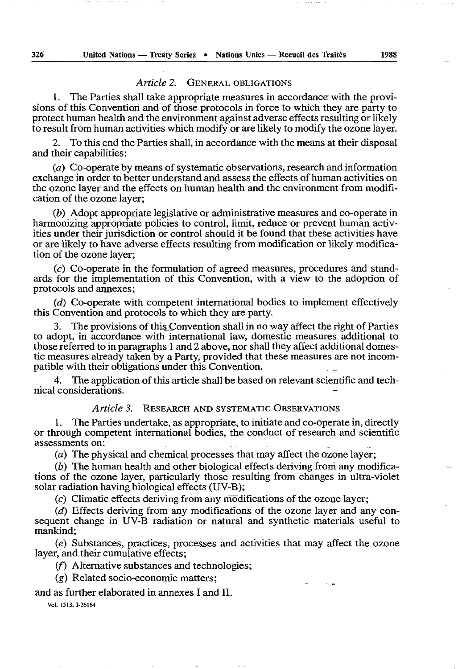### *Article 2.* GENERAL OBLIGATIONS

1. The Parties shall take appropriate measures in accordance with the provi sions of this Convention and of those protocols in force to which they are party to protect human health and the environment against adverse effects resulting or likely to result from human activities which modify or are likely to modify the ozone layer.

2. To this end the Parties shall, in accordance with the means at their disposal and their capabilities:

*(a)* Co-operate by means of systematic observations, research and information exchange in order to better understand and assess the effects of human activities on the ozone layer and the effects on human health and the environment from modifi cation of the ozone layer;

*(b)* Adopt appropriate legislative or administrative measures and co-operate in harmonizing appropriate policies to control, limit, reduce or prevent human activities under their jurisdiction or control should it be found that these activities have or are likely to have adverse effects resulting from modification or likely modifica tion of the ozone layer;

(c) Co-operate in the formulation of agreed measures, procedures and stand ards for the implementation of this Convention, with a view to the adoption of protocols and annexes;

*(d)* Co-operate with competent international bodies to implement effectively this Convention and protocols to which they are party.

3. The provisions of this Convention shall in no way affect the right of Parties to adopt, in accordance with international law, domestic measures additional to those referred to in paragraphs 1 and 2 above, nor shall they affect additional domes tic measures already taken by a Party, provided that these measures are not incom patible with their obligations under this Convention.

4. The application of this article shall be based on relevant scientific and tech nical considerations. 7

## *Article 3.* RESEARCH AND SYSTEMATIC OBSERVATIONS

1. The Parties undertake, as appropriate, to initiate and co-operate in, directly or through competent international bodies, the conduct of research and scientific assessments on:

*(a)* The physical and chemical processes that may affect the ozone layer;

*(b)* The human health and other biological effects deriving from any modifica tions of the ozone layer, particularly those resulting from changes in ultra-violet solar radiation having biological effects (UV-B);

(c) Climatic effects deriving from any modifications of the ozone layer;

*(d)* Effects deriving from any modifications of the ozone layer and any con sequent change in UV-B radiation or natural and synthetic materials useful to mankind;

*(e)* Substances, practices, processes and activities that may affect the ozone layer, and their cumulative effects;

 $(f)$  Alternative substances and technologies;

(g) Related socio-economic matters;

and as further elaborated in annexes I and II.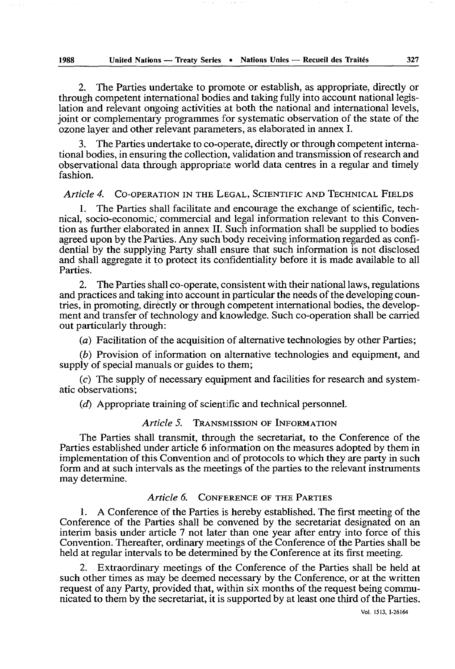2. The Parties undertake to promote or establish, as appropriate, directly or through competent international bodies and taking fully into account national legis lation and relevant ongoing activities at both the national and international levels, joint or complementary programmes for systematic observation of the state of the ozone layer and other relevant parameters, as elaborated in annex I.

3. The Parties undertake to co-operate, directly or through competent interna tional bodies, in ensuring the collection, validation and transmission of research and observational data through appropriate world data centres in a regular and timely fashion.

# *Article 4.* CO-OPERATION IN THE LEGAL, SCIENTIFIC AND TECHNICAL FIELDS

The Parties shall facilitate and encourage the exchange of scientific, technical, socio-economic, commercial and legal information relevant to this Conven tion as further elaborated in annex II. Such information shall be supplied to bodies agreed upon by the Parties. Any such body receiving information regarded as confi dential by the supplying Party shall ensure that such information is not disclosed and shall aggregate it to protect its confidentiality before it is made available to all Parties.

2. The Parties shall co-operate, consistent with their national laws, regulations and practices and taking into account in particular the needs of the developing coun tries, in promoting, directly or through competent international bodies, the develop ment and transfer of technology and knowledge. Such co-operation shall be carried out particularly through:

*(a)* Facilitation of the acquisition of alternative technologies by other Parties;

*(b)* Provision of information on alternative technologies and equipment, and supply of special manuals or guides to them;

(c) The supply of necessary equipment and facilities for research and system atic observations;

*(d)* Appropriate training of scientific and technical personnel.

# *Article 5.* TRANSMISSION OF INFORMATION

The Parties shall transmit, through the secretariat, to the Conference of the Parties established under article 6 infonnation on the measures adopted by them in implementation of this Convention and of protocols to which they are party in such form and at such intervals as the meetings of the parties to the relevant instruments may determine.

### *Article 6.* CONFERENCE OF THE PARTIES

1. A Conference of the Parties is hereby established. The first meeting of the Conference of the Parties shall be convened by the secretariat designated on an interim basis under article 7 not later than one year after entry into force of this Convention. Thereafter, ordinary meetings of the Conference of the Parties shall be held at regular intervals to be determined by the Conference at its first meeting.

Extraordinary meetings of the Conference of the Parties shall be held at such other times as may be deemed necessary by the Conference, or at the written request of any Party, provided that, within six months of the request being commu nicated to them by the secretariat, it is supported by at least one third of the Parties.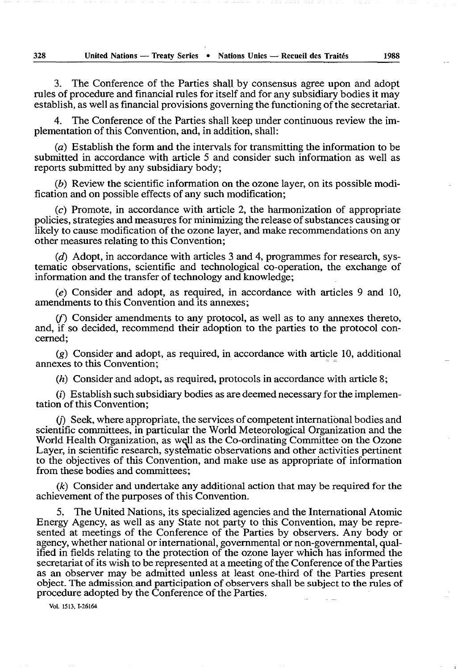3. The Conference of the Parties shall by consensus agree upon and adopt rules of procedure and financial rules for itself and for any subsidiary bodies it may establish, as well as financial provisions governing the functioning of the secretariat.

The Conference of the Parties shall keep under continuous review the implementation of this Convention, and, in addition, shall:

*(a)* Establish the form and the intervals for transmitting the information to be submitted in accordance with article 5 and consider such information as well as reports submitted by any subsidiary body;

*(b)* Review the scientific information on the ozone layer, on its possible modi fication and on possible effects of any such modification;

(c) Promote, in accordance with article 2, the harmonization of appropriate policies, strategies and measures for minimizing the release of substances causing or likely to cause modification of the ozone layer, and make recommendations on any other measures relating to this Convention;

*(d)* Adopt, in accordance with articles 3 and 4, programmes for research, sys tematic observations, scientific and technological co-operation, the exchange of information and the transfer of technology and knowledge;

*(e)* Consider and adopt, as required, in accordance with articles 9 and 10, amendments to this Convention and its annexes;

*(f)* Consider amendments to any protocol, as well as to any annexes thereto, and, if so decided, recommend their adoption to the parties to the protocol con cerned;

(g) Consider and adopt, as required, in accordance with article 10, additional annexes to this Convention;

*(h)* Consider and adopt, as required, protocols in accordance with article 8;

 $(i)$  Establish such subsidiary bodies as are deemed necessary for the implementation of this Convention;

 $(i)$  Seek, where appropriate, the services of competent international bodies and scientific committees, in particular the World Meteorological Organization and the World Health Organization, as well as the Co-ordinating Committee on the Ozone Layer, in scientific research, systematic observations and other activities pertinent to the objectives of this Convention, and make use as appropriate of information from these bodies and committees;

*(k)* Consider and undertake any additional action that may be required for the achievement of the purposes of this Convention.

5. The United Nations, its specialized agencies and the International Atomic Energy Agency, as well as any State not party to this Convention, may be repre sented at meetings of the Conference of the Parties by observers. Any body or agency, whether national or international, governmental or non-governmental, qual ified in fields relating to the protection of the ozone layer which has informed the secretariat of its wish to be represented at a meeting of the Conference of the Parties as an observer may be admitted unless at least one-third of the Parties present object. The admission and participation of observers shall be subject to the rules of procedure adopted by the Conference of the Parties.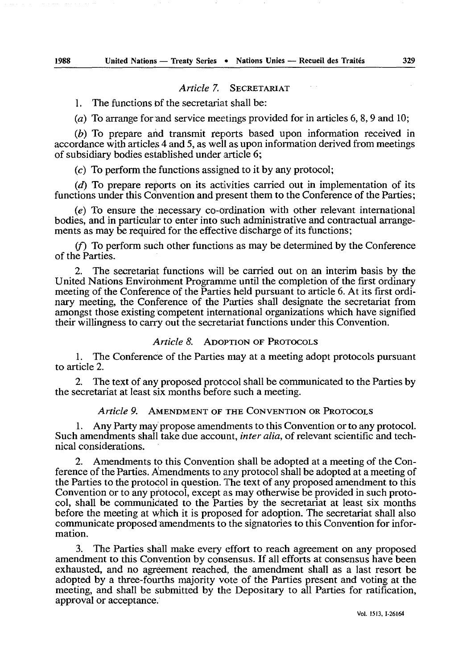## *Article 7.* SECRETARIAT

1. The functions of the secretariat shall be:

*(a)* To arrange for and service meetings provided for in articles 6, 8,9 and 10;

(b) To prepare and transmit reports based upon information received in accordance with articles 4 and 5, as well as upon information derived from meetings of subsidiary bodies established under article 6;

(c) To perform the functions assigned to it by any protocol;

*(d)* To prepare reports on its activities carried out in implementation of its functions under this Convention and present them to the Conference of the Parties;

*(e)* To ensure the necessary co-ordination with other relevant international bodies, and in particular to enter into such administrative and contractual arrange ments as may be required for the effective discharge of its functions;

(f) To perform such other functions as may be determined by the Conference of the Parties.

2. The secretariat functions will be carried out on an interim basis by the United Nations Environment Programme until the completion of the first ordinary meeting of the Conference of the Parties held pursuant to article 6. At its first ordi nary meeting, the Conference of the Parties shall designate the secretariat from amongst those existing competent international organizations which have signified their willingness to carry out the secretariat functions under this Convention.

### *Article 8.* ADOPTION OF PROTOCOLS

1. The Conference of the Parties may at a meeting adopt protocols pursuant to article 2.

2. The text of any proposed protocol shall be communicated to the Parties by the secretariat at least six months before such a meeting.

# *Article 9,* AMENDMENT OF THE CONVENTION OR PROTOCOLS

1. Any Party may propose amendments to this Convention or to any protocol. Such amendments shall take due account, *inter alia,* of relevant scientific and tech nical considerations.

2. Amendments to this Convention shall be adopted at a meeting of the Con ference of the Parties. Amendments to any protocol shall be adopted at a meeting of the Parties to the protocol in question. The text of any proposed amendment to this Convention or to any protocol, except as may otherwise be provided in such proto col, shall be communidated to the Patties by the secretariat at least six months before the meeting at which it is proposed for adoption. The secretariat shall also communicate proposed amendments to the signatories to this Convention for infor mation.

3. The Parties shall make every effort to reach agreement on any proposed amendment to this Convention by consensus. If all efforts at consensus have been exhausted, and no agreement reached., the amendment shall as a last resort be adopted by a three-fourths majority vote of the Parlies present and voting at the meeting, and shall be submitted by the Depositary to all Parties for ratification, approval or acceptance.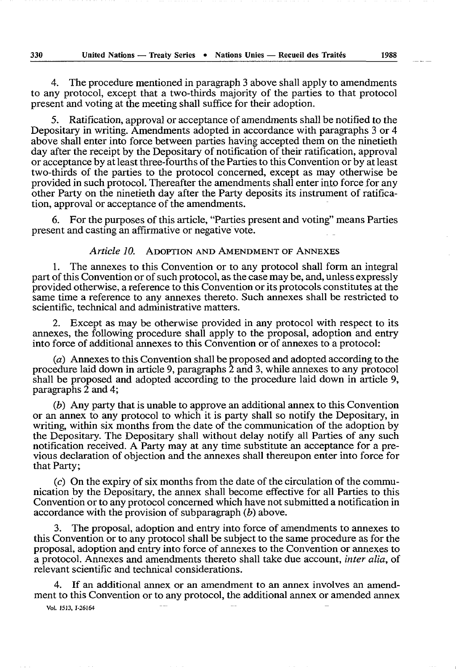4. The procedure mentioned in paragraph 3 above shall apply to amendments to any protocol, except that a two-thirds majority of the parties to that protocol present and voting at the meeting shall suffice for their adoption.

5. Ratification, approval or acceptance of amendments shall be notified to the Depositary in writing. Amendments adopted in accordance with paragraphs 3 or 4 above shall enter into force between parties having accepted them on the ninetieth day after the receipt by the Depositary of notification of their ratification, approval or acceptance by at least three-fourths of the Parties to this Convention or by at least two-thirds of the parties to the protocol concerned, except as may otherwise be provided in such protocol. Thereafter the amendments shall enter into force for any other Party on the ninetieth day after the Party deposits its instrument of ratifica tion, approval or acceptance of the amendments.

6. For the purposes of this article, "Parties present and voting" means Parties present and casting an affirmative or negative vote.

### Article 10. ADOPTION AND AMENDMENT OF ANNEXES

1. The annexes to this Convention or to any protocol shall form an integral part of this Convention or of such protocol, as the case may be, and, unless expressly provided otherwise, a reference to this Convention or its protocols constitutes at the same time a reference to any annexes thereto. Such annexes shall be restricted to scientific, technical and administrative matters.

2. Except as may be otherwise provided in any protocol with respect to its annexes, the following procedure shall apply to the proposal, adoption and entry into force of additional annexes to this Convention or of annexes to a protocol:

*(a)* Annexes to this Convention shall be proposed and adopted according to the procedure laid down in article 9, paragraphs 2 and 3, while annexes to any protocol shall be proposed and adopted according to the procedure laid down in article 9, paragraphs 2 and 4;

*(b)* Any party that is unable to approve an additional annex to this Convention or an annex to any protocol to which it is party shall so notify the Depositary, in writing, within six months from the date of the communication of the adoption by the Depositary. The Depositary shall without delay notify all Parties of any such notification received. A Party may at any time substitute an acceptance for a pre vious declaration of objection and the annexes shall thereupon enter into force for that Party;

(c) On the expiry of six months from the date of the circulation of the commu nication by the Depositary, the annex shall become effective for all Parties to this Convention or to any protocol concerned which have not submitted a notification in accordance with the provision of subparagraph *(b)* above.

3. The proposal, adoption and entry into force of amendments to annexes to this Convention or to any protocol shall be subject to the same procedure as for the proposal, adoption and entry into force of annexes to the Convention or annexes to a protocol. Annexes and amendments thereto shall take due account, *inter alia,* of relevant scientific and technical considerations.

4. If an additional annex or an amendment to an annex involves an amend ment to this Convention or to any protocol, the additional annex or amended annex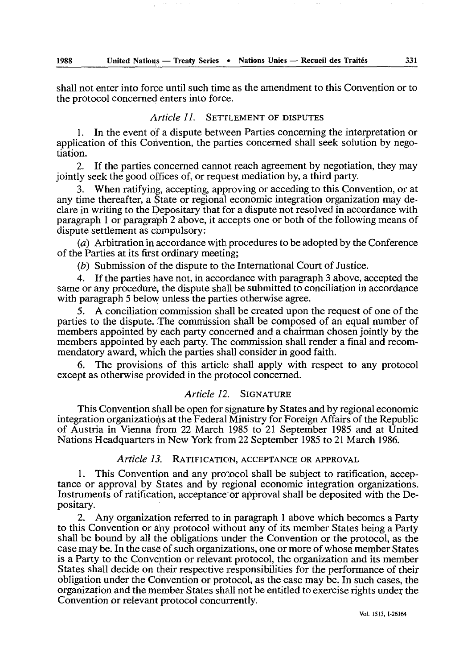shall not enter into force until such time as the amendment to this Convention or to the protocol concerned enters into force.

### *Article 11.* SETTLEMENT OF DISPUTES

1. In the event of a dispute between Parties concerning the interpretation or application of this Convention, the parties concerned shall seek solution by nego tiation.

2. If the parties concerned cannot reach agreement by negotiation, they may jointly seek the good offices of, or request mediation by, a third party.

When ratifying, accepting, approving or acceding to this Convention, or at any time thereafter, a State or regional economic integration organization may de clare in writing to the Depositary that for a dispute not resolved in accordance with paragraph 1 or paragraph 2 above, it accepts one or both of the following means of dispute settlement as compulsory:

*(a)* Arbitration in accordance with, procedures to be adopted by the Conference of the Parties at its first ordinary meeting;

*(b)* Submission of the dispute to the International Court of Justice.

4. If the parties have not, in accordance with paragraph 3 above, accepted the same or any procedure, the dispute shall be submitted to conciliation in accordance with paragraph 5 below unless the parties otherwise agree.

5. A conciliation commission shall be created upon the request of one of the parties to the dispute. The commission shall be composed of an equal number of members appointed by each party concerned and a chairman chosen jointly by the members appointed by each party. The commission shall render a final and recom mendatory award, which the parties shall consider in good faith.

6. The provisions of this article: shall apply with respect to any protocol except as otherwise provided in the protocol concerned.

# *Article 12.* SIGNATURE

This Convention shall be open for signature by States and by regional economic integration organizations at the Federal Ministry for Foreign Affairs of the Republic of Austria in Vienna from 22 March 1985 to 21 September 1985 and at United Nations Headquarters in New York from 22 September 1985 to 21 March 1986.

# *Article 13.* RATIFICATION, ACCEPTANCE OR APPROVAL

1. This Convention and any protocol shall be subject to ratification, accep tance or approval by States and by regional economic integration organizations. Instruments of ratification, acceptance or approval shall be deposited with the De positary.

2. Any organization referred to in paragraph 1 above which becomes a Party to this Convention or any protocol without any of its member States being a Party shall be bound by all the obligations under the Convention or the protocol, as the case may be. In the case of such organizations, one or more of whose member States is a Party to the Convention or relevant protocol, the organization and its member States shall decide on their respective responsibilities for the performance of their obligation under the Convention or protocol, as the case may be. In such cases, the organization and the member States shaill not be entitled to exercise rights under the Convention or relevant protocol concurrently.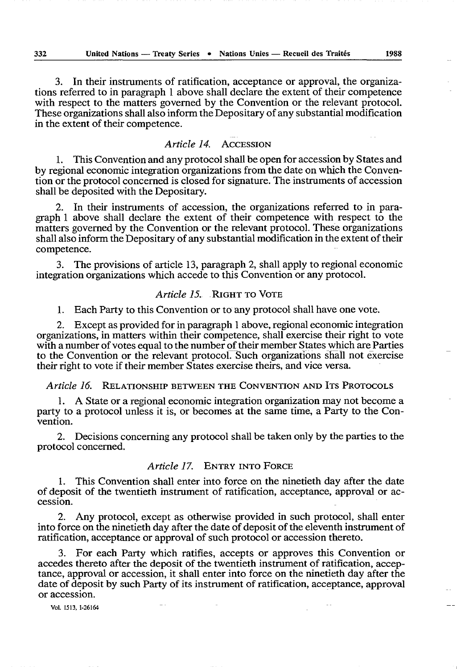3. In their instruments of ratification, acceptance or approval, the organiza tions referred to in paragraph 1 above shall declare the extent of their competence with respect to the matters governed by the Convention or the relevant protocol. These organizations shall also inform the Depositary of any substantial modification in the extent of their competence.

# *Article 14.* ACCESSION

1. This Convention and any protocol shall be open for accession by States and by regional economic integration organizations from the date on which the Conven tion or the protocol concerned is closed for signature. The instruments of accession shall be deposited with the Depositary.

2. In their instruments of accession, the organizations referred to in para graph 1 above shall declare the extent of their competence with respect to the matters governed by the Convention or the relevant protocol. These organizations shall also inform the Depositary of any substantial modification in the extent of their competence.

3. The provisions of article 13, paragraph 2, shall apply to regional economic integration organizations which accede to this Convention or any protocol.

### *Article* 15, RIGHT TO VOTE

1. Each Party to this Convention or to any protocol shall have one vote.

2. Except as provided for in paragraph 1 above, regional economic integration organizations, in matters within their competence, shall exercise their right to vote with a number of votes equal to the number of their member States which are Parties to the Convention or the relevant protocol. Such organizations shall not exercise their right to vote if their member States exercise theirs, and vice versa.

### *Article 16.* RELATIONSHIP BETWEEN THE CONVENTION AND ITS PROTOCOLS

1. A State or a regional economic integration organization may not become a party to a protocol unless it is, or becomes at the same time, a Party to the Con vention.

2. Decisions concerning any protocol shall be taken only by the parties to the protocol concerned.

### *Article 17.* ENTRY INTO FORCE

This Convention shall enter into force on the ninetieth day after the date of deposit of the twentieth instrument of ratification, acceptance, approval or ac cession.

2. Any protocol, except as otherwise provided in such protocol, shall enter into force on the ninetieth day after the date of deposit of the eleventh instrument of ratification, acceptance or approval of such protocol or accession thereto.

3. For each Party which ratifies, accepts or approves this Convention or accedes thereto after the deposit of the twentieth instrument of ratification, accep tance, approval or accession, it shall enter into force on the ninetieth day after the date of deposit by such Party of its instrument of ratification, acceptance, approval or accession.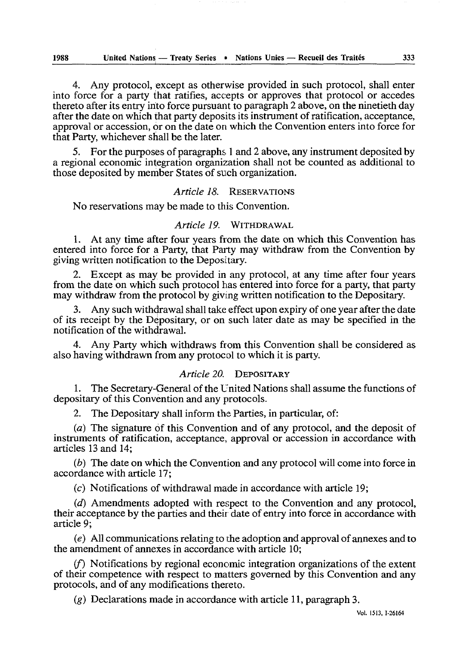4. Any protocol, except as otherwise provided in such protocol, shall enter into force for a party that ratifies, accepts or approves that protocol or accedes thereto after its entry into force pursuant to paragraph 2 above, on the ninetieth day after the date on which that party deposits its instrument of ratification, acceptance, approval or accession, or on the date on which the Convention enters into force for that Party, whichever shall be the later.

5. For the purposes of paragraphs, 1 and 2 above, any instrument deposited by a regional economic integration organization shall not be counted as additional to those deposited by member States of such organization.

### *Article 18.* RESERVATIONS

No reservations may be made to this Convention.

### *Article 19.* WITHDRAWAL

1. At any time after four years from the date on which this Convention has entered into force for a Party, that Party may withdraw from the Convention by giving written notification to the Depositary.

Except as may be provided in any protocol, at any time after four years from the date on which such protocol has entered into force for a party, that party may withdraw from the protocol by giving written notification to the Depositary.

3. Any such withdrawal shall take effect upon expiry of one year after the date of its receipt by the Depositary, or on such later date as may be specified hi the notification of the withdrawal.

4. Any Party which withdraws from this Convention shall be considered as also having withdrawn from any protocol to which it is party.

# *Article 20.* DEPOSITARY

The Secretary-General of the United Nations shall assume the functions of depositary of this Convention and any protocols.

2. The Depositary shall inform the Parties, in particular, of:

*(a)* The signature of this Convention and of any protocol, and the deposit of instruments of ratification, acceptance, approval or accession in accordance with articles 13 and 14;

*(b)* The date on which the Convention and any protocol will come into force in accordance with article 17;

(c) Notifications of withdrawal made in accordance with article 19;

*(d)* Amendments adopted with respect to the Convention and any protocol, their acceptance by the parties and their date of entry into force in accordance with article 9;

(e) All communications relating to the adoption and approval of annexes and to the amendment of annexes in accordance with article 10;

 $(f)$  Notifications by regional economic integration organizations of the extent of theur competence with respect to matters governed by this Convention and any protocols, and of any modifications thereto.

*(g)* Declarations made in accordance with article 11, paragraph 3.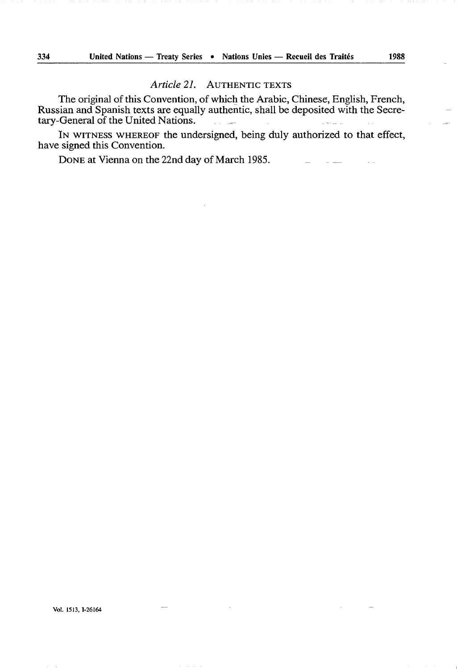# *Article 21.* AUTHENTIC TEXTS

The original of this Convention, of which the Arabic, Chinese, English, French, Russian and Spanish texts are equally authentic, shall be deposited with the Secre tary-General of the United Nations.

IN WITNESS WHEREOF the undersigned, being duly authorized to that effect, have signed this Convention.

DONE at Vienna on the 22nd day of March 1985.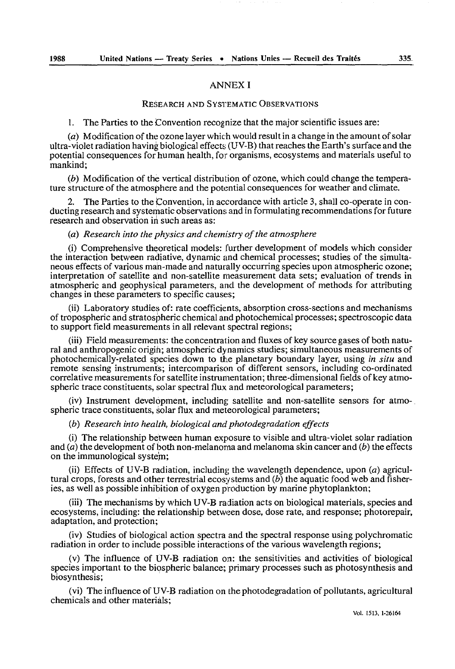### ANNEXI

## RESEARCH AND SYSTEMATIC OBSERVATIONS

1. The Parties to the Convention recognize that the major scientific issues are:

*(a)* Modification of the ozone layer which would result in a change in the amount of solar ultra-violet radiation having biological effects  $(UV-B)$  that reaches the Earth's surface and the potential consequences for human health, for organisms, ecosystems and materials useful to mankind;

*(b)* Modification of the vertical distribution of ozone, which could change the tempera ture structure of the atmosphere and the potential consequences for weather and climate.

2. The Parties to the Convention, in accordance with article 3, shall co-operate in con ducting research and systematic observations and in formulating recommendations for future research and observation in such areas as:

#### *(a) Research into the physics and chemistry of the atmosphere*

(i) Comprehensive theoretical models: further development of models which consider the interaction between radiative, dynamic and chemical processes; studies of the simulta neous effects of various man-made and naturally occurring species upon atmospheric ozone; interpretation of satellite and non-satellite measurement data sets; evaluation of trends in atmospheric and geophysical parameters, and the development of methods for attributing changes in these parameters to specific causes;

(ii) Laboratory studies of: rate coefficients, absorption cross-sections and mechanisms of tropospheric and stratospheric chemical and photochemical processes; spectroscopic data to support field measurements in all relevant spectral regions;

(iii) Field measurements: the concentration and fluxes of key source gases of both natural and anthropogenic origin; atmospheric dynamics studies; simultaneous measurements of photochemically-related species down to the planetary boundary layer, using *in situ* and remote sensing instruments; intercomparison of different sensors, including co-ordinated correlative measurements for satellite instrumentation; three-dimensional fields of key atmo spheric trace constituents, solar spectral flux and meteorological parameters;

(iv) Instrument development, including satellite and non-satellite sensors for atmo spheric trace constituents, solar flux and meteorological parameters;

#### *(b) Research into health, biological and photodegradation effects*

(i) The relationship between human exposure to visible and ultra-violet solar radiation and *(a)* the development of both non-melanoma and melanoma skin cancer and *(b)* the effects on the immunological system;

(ii) Effects of UV-B radiation, including the wavelength dependence, upon *(a)* agricul tural crops, forests and other terrestrial ecosystems and *(b)* the aquatic food web and fisher ies, as well as possible inhibition of oxygen production by marine phytoplankton;

(iii) The mechanisms by which UV-B radiation acts on biological materials, species and ecosystems, including: the relationship between dose, dose rate, and response; photorepair, adaptation, and protection;

(iv) Studies of biological action spectra and the spectral response using polychromatic radiation in order to include possible interactions of the various wavelength regions;

(v) The influence of UV-B radiation on: the sensitivities and activities of biological species important to the biospheric balance; primary processes such as photosynthesis and biosynthesis;

(vi) The influence of UV-B radiation on the photodegradation of pollutants, agricultural chemicals and other materials;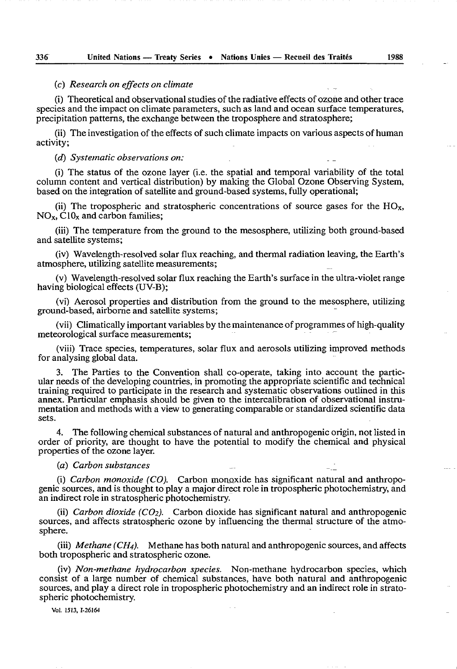### *(c) Research on effects on climate*

(i) Theoretical and observational studies of the radiative effects of ozone and other trace species and the impact on climate parameters, such as land and ocean surface temperatures, precipitation patterns, the exchange between the troposphere and stratosphere;

(ii) The investigation of the effects of such climate impacts on various aspects of human activity;

#### *(d) Systematic observations on:*

(i) The status of the ozone layer (i.e. the spatial and temporal variability of the total column content and vertical distribution) by making the Global Ozone Observing System, based on the integration of satellite and ground-based systems, fully operational;

(ii) The tropospheric and stratospheric concentrations of source gases for the  $HO<sub>x</sub>$ ,  $NO_x$ ,  $C10_x$  and carbon families:

(iii) The temperature from the ground to the mesosphere, utilizing both ground-based and satellite systems;

(iv) Wavelength-resolved solar flux reaching, and thermal radiation leaving, the Earth's atmosphere, utilizing satellite measurements;

(v) Wavelength-resolved solar flux reaching the Earth's surface in the ultra-violet range having biological effects (UV-B);

(vi) Aerosol properties and distribution from the ground to the mesosphere, utilizing ground-based, airborne and satellite systems;

(vii) Climatically important variables by the maintenance of programmes of high-quality meteorological surface measurements;

(viii) Trace species, temperatures, solar flux and aerosols utilizing improved methods for analysing global data.

The Parties to the Convention shall co-operate, taking into account the particular needs of the developing countries, in promoting the appropriate scientific and technical training required to participate in the research and systematic observations outlined in this annex. Particular emphasis should be given to the intercalibration of observational instru mentation and methods with a view to generating comparable or standardized scientific data sets.

4. The following chemical substances of natural and anthropogenic origin, not listed in order of priority, are thought to have the potential to modify the chemical and physical properties of the ozone layer.

#### *(a) Carbon substances* ..\_ \_ *~\_*

(i) *Carbon monoxide (CO).* Carbon monoxide has significant natural and anthropo genic sources, and is thought to play a major direct role in tropospheric photochemistry, and an indirect role in stratospheric photochemistry.

(ii) *Carbon dioxide (CO2).* Carbon dioxide has significant natural and anthropogenic sources, and affects stratospheric ozone by influencing the thermal structure of the atmo sphere.

(iii) *Methane (CH4).* Methane has both natural and anthropogenic sources, and affects both tropospheric and stratospheric ozone.

(iv) *Non-methane hydrocarbon species.* Non-methane hydrocarbon species, which consist of a large number of chemical substances, have both natural and anthropogenic sources, and play a direct role in tropospheric photochemistry and an indirect role in strato spheric photochemistry.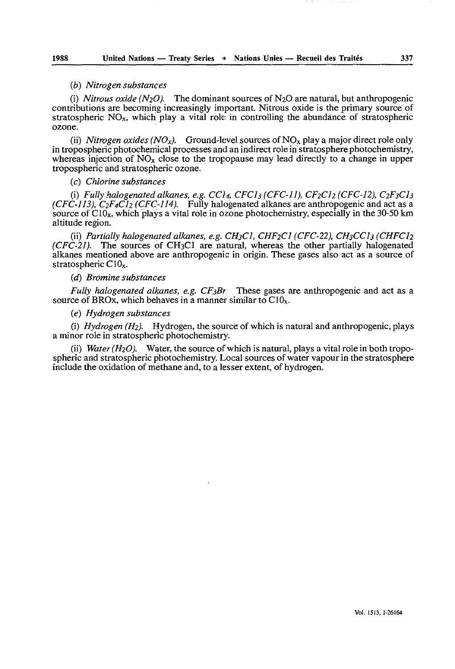# *(b) Nitrogen substances*

(i) *Nitrous oxide* ( $N_2O$ ). The dominant sources of  $N_2O$  are natural, but anthropogenic contributions are becoming increasingly important. Nitrous oxide is the primary source of stratospheric  $NO_{x}$ , which play a vital role in controlling the abundance of stratospheric ozone.

(ii) *Nitrogen oxides (NO<sub>x</sub>).* Ground-level sources of NO<sub>x</sub> play a major direct role only in tropospheric photochemical processes and an indirect role in stratosphere photochemistry, whereas injection of  $NO<sub>x</sub>$  close to the tropopause may lead directly to a change in upper tropospheric and stratospheric ozone.

*(c) Chlorine substances*

(i) *Fully halogenated alkanes, e.g.*  $CC1<sub>4</sub>$ ,  $CFC1<sub>3</sub>$   $(CFC-11)$ ,  $CF<sub>2</sub>Cl<sub>2</sub>$   $(CFC-12)$ ,  $C<sub>2</sub>F<sub>3</sub>Cl<sub>3</sub>$ *(CFC-113), C2F4C12 (CFC-114).* Fully halogenated alkanes are anthropogenic and act as a source of  $C10<sub>x</sub>$ , which plays a vital role in ozone photochemistry, especially in the 30-50 km altitude region.

(ii) *Partially halogenated alkanes, e.g. CHsCl, CHF2C1 (CFC-22), CH3CCl3(CHFCh (CFC-21).* The sources of CH<sub>3</sub>C1 are natural, whereas the other partially halogenated alkanes mentioned above are anthropogenic in origin. These gases also act as a source of stratospheric  $C10<sub>x</sub>$ .

### *(d) Bromine substances*

*Fully halogenated alkanes, e.g. CF<sub>3</sub>Br.* These gases are anthropogenic and act as a source of BROx, which behaves in a manner similar to  $Cl_2(x)$ .

*(e) Hydrogen substances*

(i)  $Hydrogen(H<sub>2</sub>)$ . Hydrogen, the source of which is natural and anthropogenic, plays a minor role in stratospheric photochemistry.

(ii) *Water (H<sub>2</sub>O).* Water, the source of which is natural, plays a vital role in both tropospheric and stratospheric photochemistry. Local sources of water vapour in the stratosphere include the oxidation of methane and, to a lesser extent, of hydrogen.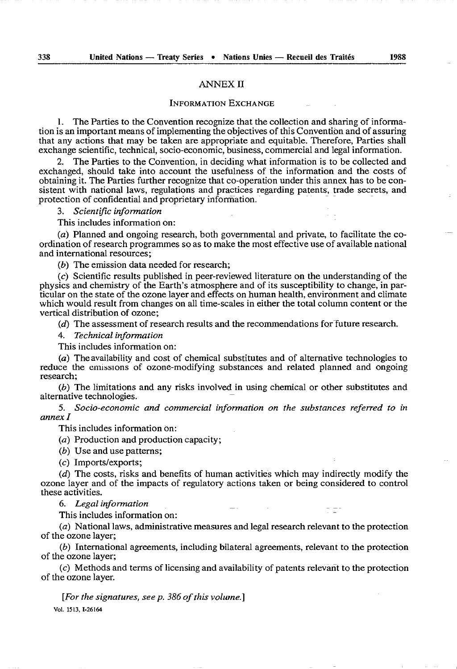#### ANNEX II

#### INFORMATION EXCHANGE

1. The Parties to the Convention recognize that the collection and sharing of informa tion is an important means of implementing the objectives of this Convention and of assuring that any actions that may be taken are appropriate and equitable. Therefore, Parties shall exchange scientific, technical, socio-economic, business, commercial and legal information.

2. The Parties to the Convention, in deciding what information is to be collected and exchanged, should take into account the usefulness of the information and the costs of obtaining it. The Parties further recognize that co-operation under this annex has to be con sistent with national laws, regulations and practices regarding patents, trade secrets, and protection of confidential and proprietary information.

3. *Scientific information* 

This includes information on:

*(a)* Planned and ongoing research, both governmental and private, to facilitate the co ordination of research programmes so as to make the most effective use of available national and international resources;

*(b)* The emission data needed for research;

(c) Scientific results published in peer-reviewed literature on the understanding of the physics and chemistry of the Earth's atmosphere and of its susceptibility to change, in par ticular on the state of the ozone layer and effects on human health, environment and climate which would result from changes on all time-scales in either the total column content or the vertical distribution of ozone;

*(d)* The assessment of research results and the recommendations for future research.

4. *Technical information* 

This includes information on:

*(a)* The availability and cost of chemical substitutes and of alternative technologies to reduce the emissions of ozone-modifying substances and related planned and ongoing research;

*(b)* The limitations and any risks involved in using chemical or other substitutes and alternative technologies.

5. *Socio-economic and commercial information on the substances referred to in annex I*

This includes information On:

*(a)* Production and production capacity;

*(b)* Use and use patterns;

*(c)* Imports/exports;

*(d)* The costs, risks and benefits of human activities which may indirectly modify the ozone layer and of the impacts of regulatory actions taken or being considered to control these activities.

6. *Legal information \_* 

This includes information on:

*(a)* National laws, administrative measures and legal research relevant to the protection of the ozone layer;

*(b)* International agreements, including bilateral agreements, relevant to the protection of the ozone layer;

(c) Methods and terms of licensing and availability of patents relevant to the protection of the ozone layer.

*[For the signatures, see p. 386 of this volume.]*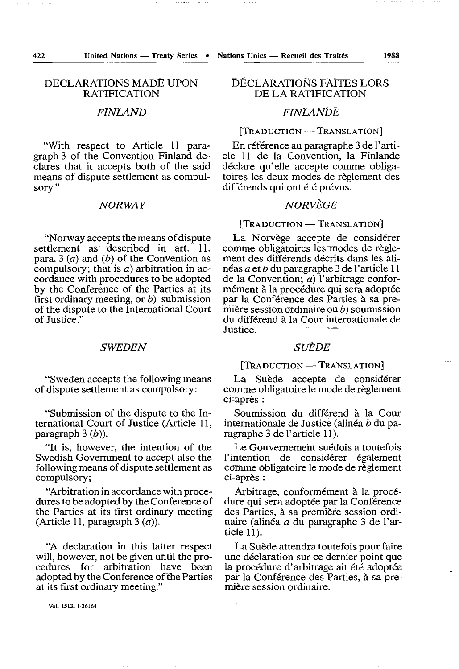DECLARATIONS MADE UPON RATIFICATION

# *FINLAND*

"With respect to Article 11 para graph 3 of the Convention Finland de clares that it accepts both of the said means of dispute settlement as compul sory."

### *NORWAY*

"Norway accepts the means of dispute settlement as described in art. 11, para. 3 *(a)* and *(b)* of the Convention as compulsory; that is *a)* arbitration in ac cordance with procedures to be adopted by the Conference of the Parties at its first ordinary meeting, or *b)* submission of the dispute to the International Court of Justice."

# *SWEDEN*

"Sweden accepts the following means of dispute settlement as compulsory:

"Submission of the dispute to the In ternational Court of Justice (Article 11, paragraph 3 *(b)).*

"It is, however, the intention of the Swedish Government to accept also the following means of dispute settlement as compulsory;

"Arbitration in accordance with proce dures to be adopted by the Conference of the Parties at its first ordinary meeting (Article 11, paragraph  $3(a)$ ).

"A declaration in this latter respect will, however, not be given until the pro cedures for arbitration have been adopted by the Conference of the Parties at its first ordinary meeting."

Vol. 1513, 1-26164

# DÉCLARATIONS FAITES LORS DE LA RATIFICATION

# *FINLANDE*

# [TRADUCTION — TRANSLATION]

En référence au paragraphe 3 de l'arti cle 11 de la Convention, la Finlande déclare qu'elle accepte comme obliga toires les deux modes de règlement des différends qui ont été prévus.

# *NORVÈGE*

### [TRADUCTION — TRANSLATION]

La Norvège accepte de considérer comme obligatoires les modes de règlement des différends décrits dans les ali néas *a* et *b* du paragraphe 3 de l'article 11 de la Convention; *à)* l'arbitrage confor mément à la procédure qui sera adoptée par la Conférence des Parties à sa pre mière session ordinaire où *b)* soumission du différend à la Cour internationale de Justice.

### *SUÈDE*

### [TRADUCTION — TRANSLATION]

La Suède accepte de considérer comme obligatoire le mode de règlement ci-après :

Soumission du différend à la Cour internationale de Justice (alinéa *b* du pa ragraphe 3 de l'article 11).

Le Gouvernement suédois a toutefois l'intention de considérer également comme obligatoire le mode de règlement ci-après :

Arbitrage, conformément à la procé dure qui sera adoptée par la Conférence des Parties, à sa première session ordi naire (alinéa *a* du paragraphe 3 de l'article 11).

La Suède attendra toutefois pour faire une déclaration sur ce dernier point que la procédure d'arbitrage ait été adoptée par la Conférence des Parties, à sa pre mière session ordinaire.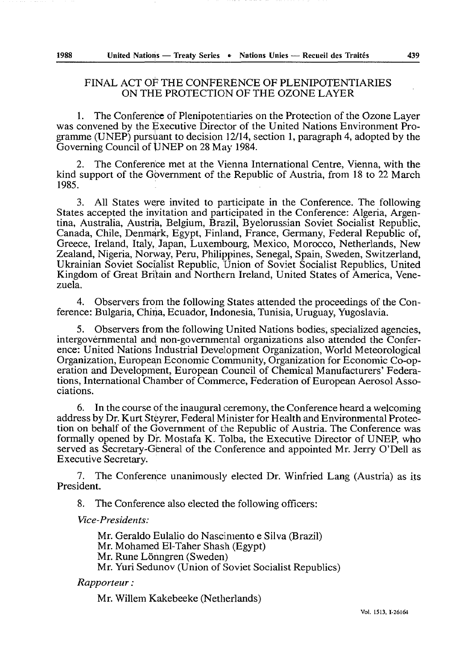# FINAL ACT OF THE CONFERENCE OF PLENIPOTENTIARIES ON THE PROTECTION OF THE OZONE LAYER

1. The Conference of Plenipotentiaries on the Protection of the Ozone Layer was convened by the Executive Director of the United Nations Environment Pro gramme (UNEP) pursuant to decision 12/14, section 1, paragraph 4, adopted by the Governing Council of UNEP on 28 May 1984.

2. The Conference met at the Vienna International Centre, Vienna, with the kind support of the Government of the Republic of Austria, from 18 to 22 March 1985.

3. All States were invited to participate in the Conference. The following States accepted the invitation and participated in the Conference: Algeria, Argen tina, Australia, Austria, Belgium, Brazil, Byelorussian Soviet Socialist Republic, Canada, Chile, Denmark, Egypt, Finland, France, Germany, Federal Republic of, Greece, Ireland, Italy, Japan, Luxembourg, Mexico, Morocco, Netherlands, New Zealand, Nigeria, Norway, Peru, Philippines, Senegal, Spain, Sweden, Switzerland, Ukrainian Soviet Socialist Republic, Union of Soviet Socialist Republics, United Kingdom of Great Britain and Northern Ireland, United States of America, Vene zuela.

4. Observers from the following States attended the proceedings of the Con ference: Bulgaria, China, Ecuador, Indonesia, Tunisia, Uruguay, Yugoslavia.

5. Observers from the following United Nations bodies, specialized agencies, intergovernmental and non-governmental organizations also attended the Confer ence: United Nations Industrial Development Organization, World Meteorological Organization, European Economic Community, Organization for Economic Co-op eration and Development, European Council of Chemical Manufacturers' Federa tions, International Chamber of Commerce, Federation of European Aerosol Asso ciations.

6. In the course of the inaugural ceremony, the Conference heard a welcoming address by Dr. Kurt Steyrer, Federal Minister for Health and Environmental Protection on behalf of the Government of the Republic of Austria. The Conference was formally opened by  $Dr$ . Mostafa K. Tolba, the Executive Director of UNEP, who served as Secretary-General of the Conference and appointed Mr. Jerry O'Dell as Executive Secretary.

7. The Conference unanimously elected Dr. Winfried Lang (Austria) as its President.

8. The Conference also elected the following officers:

*Vice-Presidents:*

Mr. Geraldo Eulalio do Nascimento e Silva (Brazil) Mr. Mohamed El-Taher Shash (Egypt) Mr. Rune Lônngren (Sweden) Mr. Yuri Sedunov (Union of Soviet Socialist Republics)

*Rapporteur :*

Mr. Willem Kakebeeke (Netherlands)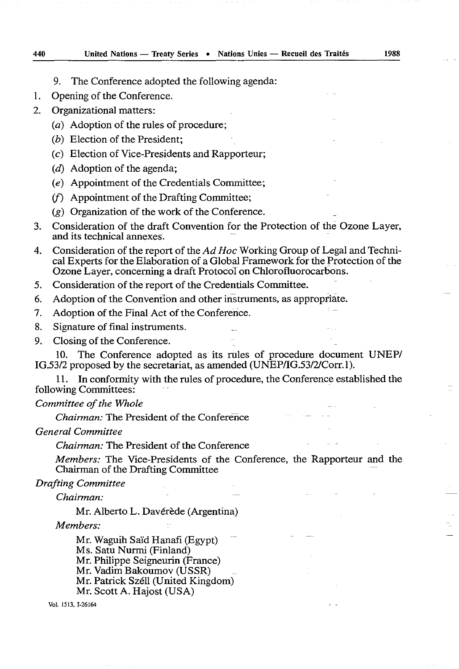1. Opening of the Conference.

## 2. Organizational matters:

- *(a)* Adoption of the rules of procedure;
- *(b)* Election of the President;
- $(c)$  Election of Vice-Presidents and Rapporteur;
- *(d)* Adoption of the agenda;
- *(e)* Appointment of the Credentials Committee;
- *(f)* Appointment of the Drafting Committee;
- *(g)* Organization of the work of the Conference.
- 3. Consideration of the draft Convention for the Protection of the Ozone Layer, and its technical annexes.
- 4. Consideration of the report of the *Ad Hoc* Working Group of Legal and Techni cal Experts for the Elaboration of a Global Framework for the Protection of the Ozone Layer, concerning a draft Protocol on Chlorofluorocarbons.
- 5. Consideration of the report of the Credentials Committee.
- 6. Adoption of the Convention and other instruments, as appropriate.
- 7. Adoption of the Final Act of the Conference.
- 8. Signature of final instruments.
- 9. Closing of the Conference.

10. The Conference adopted as its rules of procedure document UNEP/ IG.53/2 proposed by the secretariat, as amended (UNEP/IG.53/2/Corr.l).

11. In conformity with the rules of procedure, the Conference established the following Committees:

*Committee of the Whole*

*Chairman:* The President of the Conference

*General Committee*

*Chairman:* The President of the Conference

*Members:* The Vice-Presidents of the Conference, the Rapporteur and the Chairman of the Drafting Committee

*Drafting Committee* 

*Chairman:*

Mr. Alberto L. Davérède (Argentina)

*Members:*

Mr. Waguih Saïd Hanafi (Egypt) Ms. Satu Nurmi (Finland) Mr. Philippe Seigneurin (France) Mr. Vadim Bakoumov (USSR) Mr. Patrick Széll (United Kingdom) Mr. Scott A. Hajost (USA)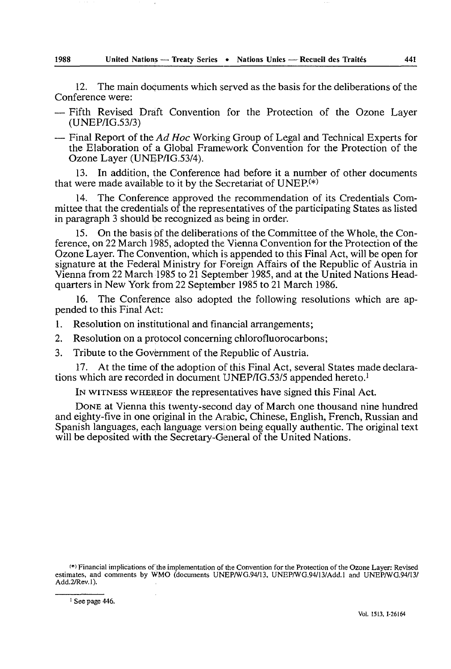12. The main documents which served as the basis for the deliberations of the Conference were:

- Fifth Revised Draft Convention for the Protection of the Ozone Layer (UNEP/IG.53/3)
- Final Report of the *Ad Hoc* Working Group of Legal and Technical Experts for the Elaboration of a Global Framework Convention for the Protection of the Ozone Layer (UNEP/IG.53/4).

13. In addition, the Conference had before it a number of other documents that were made available to it by the Secretariat of UNEP/\*)

14. The Conference approved the recommendation of its Credentials Com mittee that the credentials of the representatives of the participating States as listed in paragraph 3 should be recognized as being in order.

15. On the basis Of the deliberations of the Committee of the Whole, the Con ference, on 22 March 1985, adopted the Vienna Convention for the Protection of the Ozone Layer. The Convention, which is appended to this Final Act, will be open for signature at the Federal Ministry for Foreign Affairs of the Republic of Austria in Vienna from 22 March 1985 to 21 September 1985, and at the United Nations Head quarters in New York from 22 September 1985 to 21 March 1986.

16. The Conference also adopted the following resolutions which are ap pended to this Final Act:

- 1. Resolution on institutional and financial arrangements;
- 2. Resolution on a protocol concerning chlorofluorocarbons;
- 3. Tribute to the Government of the Republic of Austria.

17. At the time of the adoption of this Final Act, several States made declara tions which are recorded in document UNEP/IG.53/5 appended hereto.<sup>1</sup>

IN WITNESS WHEREOF the representatives have signed this Final Act.

DONE at Vienna this twenty-second day of March one thousand nine hundred and eighty-five in one original in the Arabic, Chinese, English, French, Russian and Spanish languages, each language version being equally authentic. The original text will be deposited with the Secretary-General of the United Nations.

<sup>(\*)</sup> Financial implications of the implementation of the Convention for the Protection of the Ozone Layer: Revised estimates, and comments by WMO (documents UNEP/WG.94/13, UNEP/WG.94/13/Add.l and UNEP/WG.94/13/ Add.2/Rev.l).

<sup>&</sup>lt;sup>1</sup> See page 446.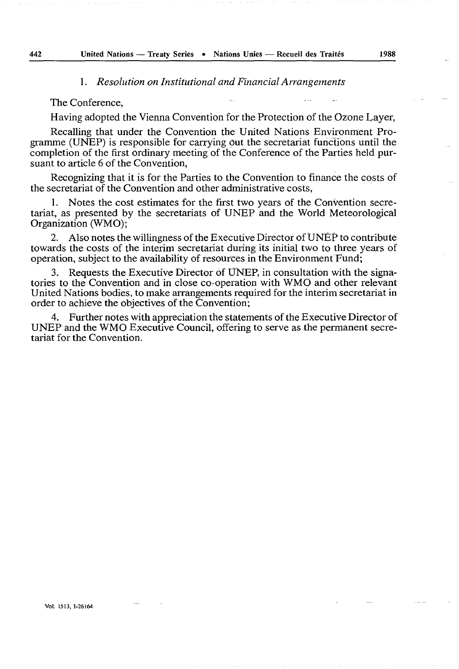# 1. *Resolution on Institutional and Financial Arrangements*

The Conference,

Having adopted the Vienna Convention for the Protection of the Ozone Layer,

Recalling that under the Convention the United Nations Environment Pro gramme (UNEP) is responsible for carrying out the secretariat functions until the completion of the first ordinary meeting of the Conference of the Parties held pur suant to article 6 of the Convention,

Recognizing that it is for the Parties to the Convention to Finance the costs of the secretariat of the Convention and other administrative costs,

1. Notes the cost estimates for the first two years of the Convention secretariat, as presented by the secretariats of UNEP and the World Meteorological Organization (WMO);

2. Also notes the willingness of the Executive Director of UNEP to contribute towards the costs of the interim secretariat during its initial two to three years of operation, subject to the availability of resources in the Environment Fund;

Requests the Executive Director of UNEP, in consultation with the signatories to the Convention and in close co-operation with WMO and other relevant United Nations bodies, to make arrangements required for the interim secretariat in order to achieve the objectives of the Convention;

Further notes with appreciation the statements of the Executive Director of UNEP and the WMO Executive Council, offering to serve as the permanent secre tariat for the Convention.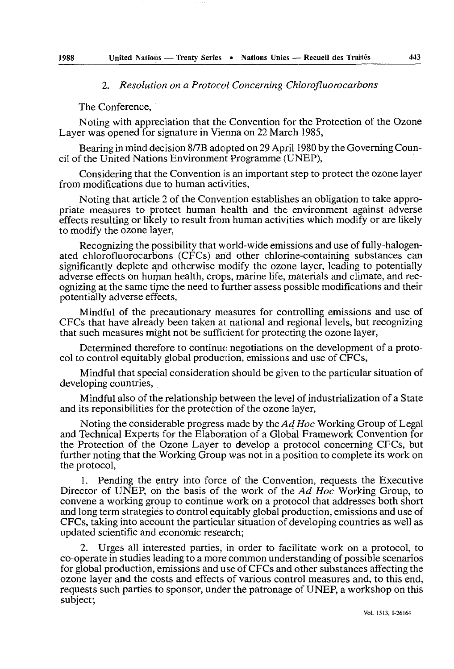### 2. *Resolution on a Protocol Concerning Chlorofluorocarbons*

The Conférence,

Noting with appreciation that the: Convention for the Protection of the Ozone Layer was opened for signature in Vienna on 22 March 1985,

Bearing in mind decision 8/7B adopted on 29 April 1980 by the Governing Coun cil of the United Nations Environment Programme (UNEP),

Considering that the Convention is an important step to protect the ozone layer from modifications due to human activities,

Noting that article 2 of the Convention establishes an obligation to take appro priate measures to protect human health and the environment against adverse effects resulting or likely to result from human activities which modify or are likely to modify the ozone layer,

Recognizing the possibility that world-wide emissions and use of fully-halogenated Chlorofluorocarbons (CFCs) and other chlorine-containing substances can significantly deplete and otherwise modify the ozone layer, leading to potentially adverse effects on human health, crops, marine life, materials and climate, and recognizing at the same time the need to further assess possible modifications and their potentially adverse effects,

Mindful of the precautionary measures for controlling emissions and use of CFCs that have already been taken at national and regional levels, but recognizing that such measures might not be sufficient for protecting the ozone layer,

Determined therefore to continue negotiations on the development of a protocol to control equitably global production, emissions and use of CFCs,

Mindful that special consideration should be given to the particular situation of developing countries,

Mindful also of the relationship between the level of industrialization of a State and its reponsibilities for the protection of the ozone layer,

Noting the considerable progress made by *the Ad Hoc* Working Group of Legal and Technical Experts for the Elaboration of a Global Framework Convention for the Protection of the Ozone Layer to develop a protocol concerning CFCs, but further noting that the Working Group was not in a position to complete its work on the protocol,

1. Pending the entry into force of the Convention, requests the Executive Director of UNEP, on the basis of the work of the *Ad Hoc* Working Group, to convene a working group to continue work on a protocol that addresses both short and long term strategies to control equitably global production, emissions and use of CFCs, taking into account the particular situation of developing countries as well as updated scientific and economic research;

2. Urges all interested parties, in order to facilitate work on a protocol, to co-operate in studies leading to a more common understanding of possible scenarios for global production, emissions and use of CFCs and other substances affecting the ozone layer and the costs and effects of various control measures and, to this end, requests such parties to sponsor, under the patronage of UNEP, a workshop on this subject;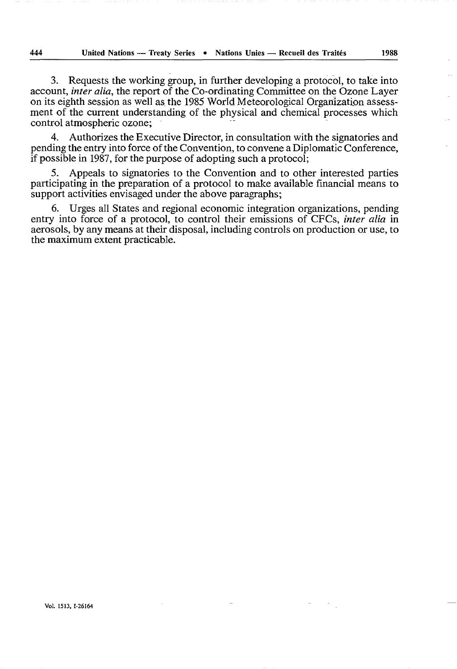3. Requests the working group, in further developing a protocol, to take into account, *inter alia,* the report of the Co-ordinating Committee on the Ozone Layer on its eighth session as well as the 1985 World Meteorological Organization assess ment of the current understanding of the physical and chemical processes which control atmospheric ozone;

4. Authorizes the Executive Director, in consultation with the signatories and pending the entry into force of the Convention, to convene a Diplomatic Conference, if possible in 1987, for the purpose of adopting such a protocol;

5. Appeals to signatories to the Convention and to other interested parties participating in the preparation of a protocol to make available financial means to support activities envisaged under the above paragraphs;

6. Urges all States and regional economic integration organizations, pending entry into force of a protocol, to control their emissions of CFCs, *inter alia* in aerosols, by any means at their disposal, including controls on production or use, to the maximum extent practicable.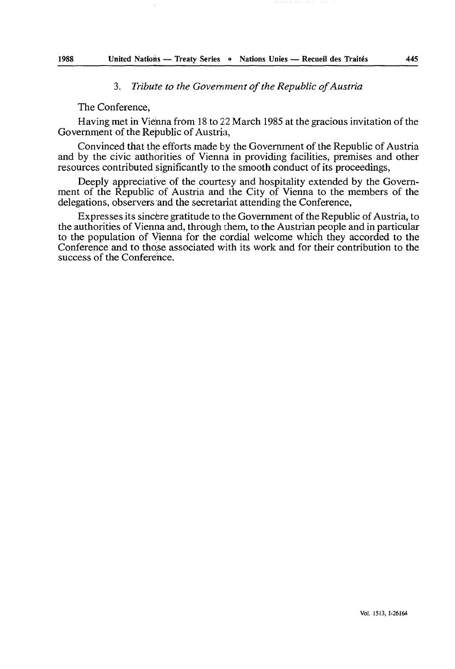# 3. *Tribute to the Government of the Republic of Austria*

The Conference,

Having met in Vienna from 18 to 22 March 1985 at the gracious invitation of the Government of the Republic of Austria,

Convinced that the efforts made by the Government of the Republic of Austria and by the civic authorities of Vienna in providing facilities, premises and other resources contributed significantly to the smooth conduct of its proceedings,

Deeply appreciative of the courtesy and hospitality extended by the Govern ment of the Republic of Austria and the City of Vienna to the members of the delegations, observers and the secretariat attending the Conference,

Expresses its sincere gratitude to the Government of the Republic of Austria, to the authorities of Vienna and, through them, to the Austrian people and in particular to the population of Vienna for the cordial welcome which they accorded to the Conference and to those associated with its work and for their contribution to the success of the Conference.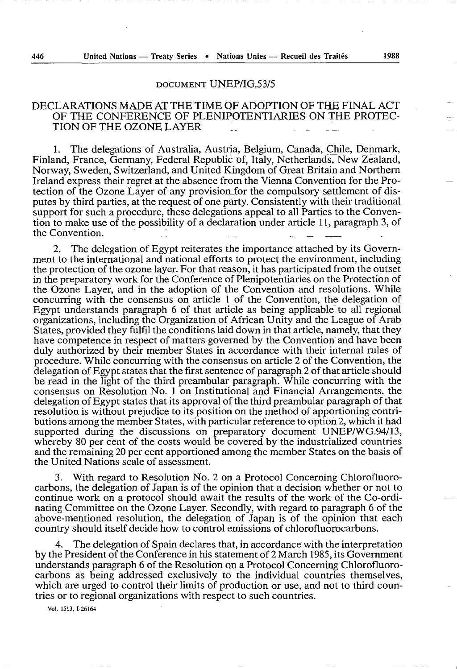### DOCUMENT UNEP/IG.53/5

# DECLARATIONS MADE AT THE TIME OF ADOPTION OF THE FINAL ACT OF THE CONFERENCE OF PLENIPOTENTIARIES ON THE PROTEC TION OF THE OZONE LAYER ;.

1. The delegations of Australia, Austria, Belgium, Canada, Chile, Denmark, Finland, France, Germany, Federal Republic of, Italy, Netherlands, New Zealand, Norway, Sweden, Switzerland, and United Kingdom of Great Britain and Northern Ireland express their regret at the absence from the Vienna Convention for the Pro tection of the Ozone Layer of any provision for the compulsory settlement of disputes by third parties, at the request of one party. Consistently with their traditional support for such a procedure, these delegations appeal to all Parties to the Conven tion to make use of the possibility of a declaration under article 11, paragraph 3, of the Convention.

2. The delegation of Egypt reiterates the importance attached by its Govern ment to the international and national efforts to protect the environment, including the protection of the ozone layer. For that reason, it has participated from the outset in the preparatory work for the Conference of Plenipotentiaries on the Protection of the Ozone Layer, and in the adoption of the Convention and resolutions. While concurring with the consensus on article 1 of the Convention, the delegation of Egypt understands paragraph 6 of that article as being applicable to all regional organizations, including the Organization of African Unity and the League of Arab States, provided they fulfil the conditions laid down in that article, namely, that they have competence in respect of matters governed by the Convention and have been duly authorized by their member States in accordance with their internal rules of procedure. While concurring with the consensus on article 2 of the Convention, the delegation of Egypt states that the first sentence of paragraph 2 of that article should be read in the light of the third preambular paragraph. While concurring with the consensus on Resolution No. 1 on Institutional and Financial Arrangements, the delegation of Egypt states that its approval of the third preambular paragraph of that resolution is without prejudice to its position on the method of apportioning contri butions among the member States, with particular reference to option 2, which it had supported during the discussions on preparatory document UNEP/WG.94/13, whereby 80 per cent of the costs would be covered by the industrialized countries and the remaining 20 per cent apportioned among the member States on the basis of the United Nations scale of assessment.

3. With regard to Resolution No. 2 on a Protocol Concerning Chlorofluorocarbons, the delegation of Japan is of the opinion that a decision whether or not to continue work on a protocol should await the results of the work of the Co-ordi nating Committee on the Ozone Layer. Secondly, with regard to paragraph 6 of the above-mentioned resolution, the delegation of Japan is of the opinion that each country should itself decide how to control emissions of chlorofluorocarbons.

The delegation of Spain declares that, in accordance with the interpretation by the President of the Conference in his statement of 2 M arch 1985, its Government understands paragraph 6 of the Resolution on a Protocol Concerning Chlorofluoro carbons as being addressed exclusively to the individual countries themselves, which are urged to control their limits of production or use, and not to third coun tries or to regional organizations with respect to such countries.